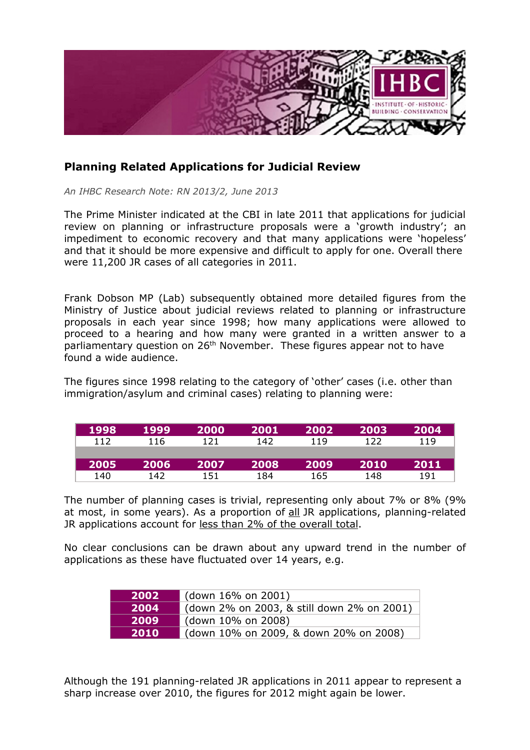

## **Planning Related Applications for Judicial Review**

*An IHBC Research Note: RN 2013/2, June 2013*

The Prime Minister indicated at the CBI in late 2011 that applications for judicial review on planning or infrastructure proposals were a 'growth industry'; an impediment to economic recovery and that many applications were 'hopeless' and that it should be more expensive and difficult to apply for one. Overall there were 11,200 JR cases of all categories in 2011.

Frank Dobson MP (Lab) subsequently obtained more detailed figures from the Ministry of Justice about judicial reviews related to planning or infrastructure proposals in each year since 1998; how many applications were allowed to proceed to a hearing and how many were granted in a written answer to a parliamentary question on 26<sup>th</sup> November. These figures appear not to have found a wide audience.

The figures since 1998 relating to the category of 'other' cases (i.e. other than immigration/asylum and criminal cases) relating to planning were:

| 1998 | 1999 | 2000 | 2001 | 2002 | 2003 | 2004 |
|------|------|------|------|------|------|------|
| 112  | 116  | 121  | 142  | 119  | 122  | 119  |
|      |      |      |      |      |      |      |
| 2005 | 2006 | 2007 | 2008 | 2009 | 2010 | 2011 |
| 140  | 142  | 151  | 184  | 165  | 148  | 191  |

The number of planning cases is trivial, representing only about 7% or 8% (9% at most, in some years). As a proportion of all JR applications, planning-related JR applications account for less than 2% of the overall total.

No clear conclusions can be drawn about any upward trend in the number of applications as these have fluctuated over 14 years, e.g.

| 2002 | (down 16% on 2001)                         |
|------|--------------------------------------------|
| 2004 | (down 2% on 2003, & still down 2% on 2001) |
| 2009 | (down 10% on 2008)                         |
| 2010 | (down 10% on 2009, & down 20% on 2008)     |

Although the 191 planning-related JR applications in 2011 appear to represent a sharp increase over 2010, the figures for 2012 might again be lower.